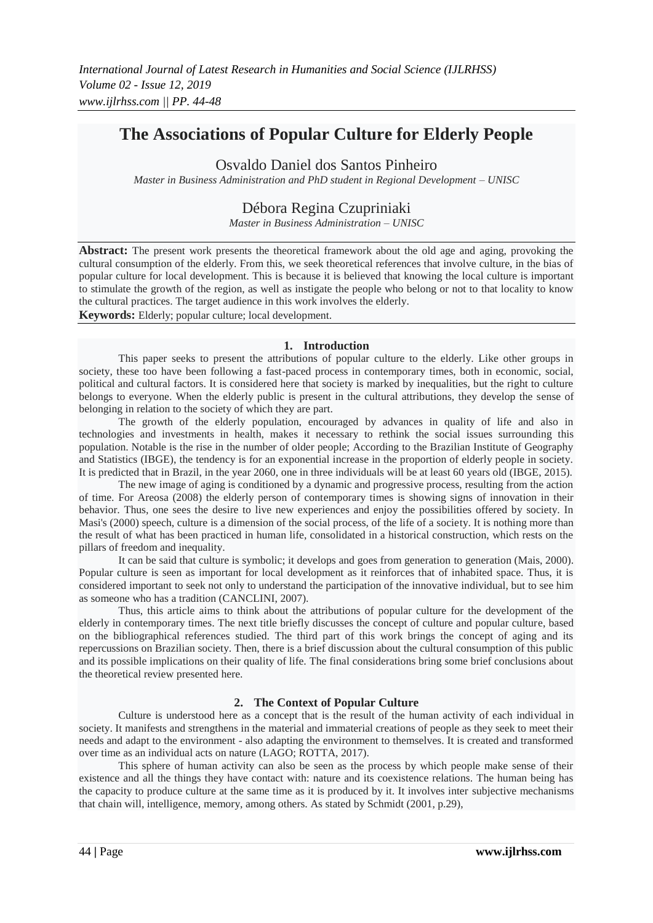## **The Associations of Popular Culture for Elderly People**

Osvaldo Daniel dos Santos Pinheiro

*Master in Business Administration and PhD student in Regional Development – UNISC*

## Débora Regina Czupriniaki

*Master in Business Administration – UNISC*

**Abstract:** The present work presents the theoretical framework about the old age and aging, provoking the cultural consumption of the elderly. From this, we seek theoretical references that involve culture, in the bias of popular culture for local development. This is because it is believed that knowing the local culture is important to stimulate the growth of the region, as well as instigate the people who belong or not to that locality to know the cultural practices. The target audience in this work involves the elderly.

**Keywords:** Elderly; popular culture; local development.

#### **1. Introduction**

This paper seeks to present the attributions of popular culture to the elderly. Like other groups in society, these too have been following a fast-paced process in contemporary times, both in economic, social, political and cultural factors. It is considered here that society is marked by inequalities, but the right to culture belongs to everyone. When the elderly public is present in the cultural attributions, they develop the sense of belonging in relation to the society of which they are part.

The growth of the elderly population, encouraged by advances in quality of life and also in technologies and investments in health, makes it necessary to rethink the social issues surrounding this population. Notable is the rise in the number of older people; According to the Brazilian Institute of Geography and Statistics (IBGE), the tendency is for an exponential increase in the proportion of elderly people in society. It is predicted that in Brazil, in the year 2060, one in three individuals will be at least 60 years old (IBGE, 2015).

The new image of aging is conditioned by a dynamic and progressive process, resulting from the action of time. For Areosa (2008) the elderly person of contemporary times is showing signs of innovation in their behavior. Thus, one sees the desire to live new experiences and enjoy the possibilities offered by society. In Masi's (2000) speech, culture is a dimension of the social process, of the life of a society. It is nothing more than the result of what has been practiced in human life, consolidated in a historical construction, which rests on the pillars of freedom and inequality.

It can be said that culture is symbolic; it develops and goes from generation to generation (Mais, 2000). Popular culture is seen as important for local development as it reinforces that of inhabited space. Thus, it is considered important to seek not only to understand the participation of the innovative individual, but to see him as someone who has a tradition (CANCLINI, 2007).

Thus, this article aims to think about the attributions of popular culture for the development of the elderly in contemporary times. The next title briefly discusses the concept of culture and popular culture, based on the bibliographical references studied. The third part of this work brings the concept of aging and its repercussions on Brazilian society. Then, there is a brief discussion about the cultural consumption of this public and its possible implications on their quality of life. The final considerations bring some brief conclusions about the theoretical review presented here.

### **2. The Context of Popular Culture**

Culture is understood here as a concept that is the result of the human activity of each individual in society. It manifests and strengthens in the material and immaterial creations of people as they seek to meet their needs and adapt to the environment - also adapting the environment to themselves. It is created and transformed over time as an individual acts on nature (LAGO; ROTTA, 2017).

This sphere of human activity can also be seen as the process by which people make sense of their existence and all the things they have contact with: nature and its coexistence relations. The human being has the capacity to produce culture at the same time as it is produced by it. It involves inter subjective mechanisms that chain will, intelligence, memory, among others. As stated by Schmidt (2001, p.29),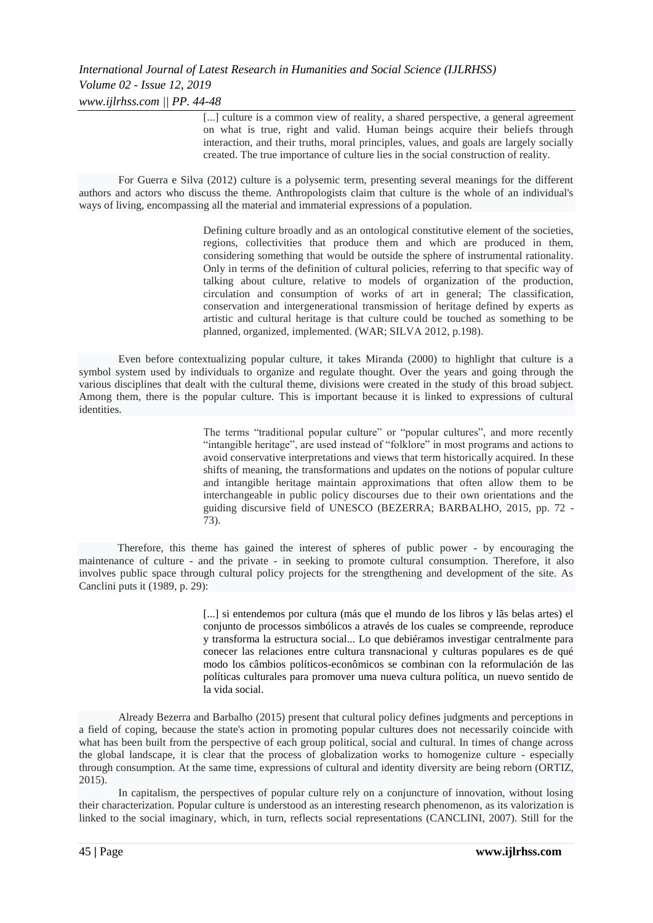[...] culture is a common view of reality, a shared perspective, a general agreement on what is true, right and valid. Human beings acquire their beliefs through interaction, and their truths, moral principles, values, and goals are largely socially created. The true importance of culture lies in the social construction of reality.

For Guerra e Silva (2012) culture is a polysemic term, presenting several meanings for the different authors and actors who discuss the theme. Anthropologists claim that culture is the whole of an individual's ways of living, encompassing all the material and immaterial expressions of a population.

> Defining culture broadly and as an ontological constitutive element of the societies, regions, collectivities that produce them and which are produced in them, considering something that would be outside the sphere of instrumental rationality. Only in terms of the definition of cultural policies, referring to that specific way of talking about culture, relative to models of organization of the production, circulation and consumption of works of art in general; The classification, conservation and intergenerational transmission of heritage defined by experts as artistic and cultural heritage is that culture could be touched as something to be planned, organized, implemented. (WAR; SILVA 2012, p.198).

Even before contextualizing popular culture, it takes Miranda (2000) to highlight that culture is a symbol system used by individuals to organize and regulate thought. Over the years and going through the various disciplines that dealt with the cultural theme, divisions were created in the study of this broad subject. Among them, there is the popular culture. This is important because it is linked to expressions of cultural identities.

> The terms "traditional popular culture" or "popular cultures", and more recently "intangible heritage", are used instead of "folklore" in most programs and actions to avoid conservative interpretations and views that term historically acquired. In these shifts of meaning, the transformations and updates on the notions of popular culture and intangible heritage maintain approximations that often allow them to be interchangeable in public policy discourses due to their own orientations and the guiding discursive field of UNESCO (BEZERRA; BARBALHO, 2015, pp. 72 - 73).

Therefore, this theme has gained the interest of spheres of public power - by encouraging the maintenance of culture - and the private - in seeking to promote cultural consumption. Therefore, it also involves public space through cultural policy projects for the strengthening and development of the site. As Canclini puts it (1989, p. 29):

> [...] si entendemos por cultura (más que el mundo de los libros y lãs belas artes) el conjunto de processos simbólicos a através de los cuales se compreende, reproduce y transforma la estructura social... Lo que debiéramos investigar centralmente para conecer las relaciones entre cultura transnacional y culturas populares es de qué modo los câmbios políticos-econômicos se combinan con la reformulación de las políticas culturales para promover uma nueva cultura política, un nuevo sentido de la vida social.

Already Bezerra and Barbalho (2015) present that cultural policy defines judgments and perceptions in a field of coping, because the state's action in promoting popular cultures does not necessarily coincide with what has been built from the perspective of each group political, social and cultural. In times of change across the global landscape, it is clear that the process of globalization works to homogenize culture - especially through consumption. At the same time, expressions of cultural and identity diversity are being reborn (ORTIZ, 2015).

In capitalism, the perspectives of popular culture rely on a conjuncture of innovation, without losing their characterization. Popular culture is understood as an interesting research phenomenon, as its valorization is linked to the social imaginary, which, in turn, reflects social representations (CANCLINI, 2007). Still for the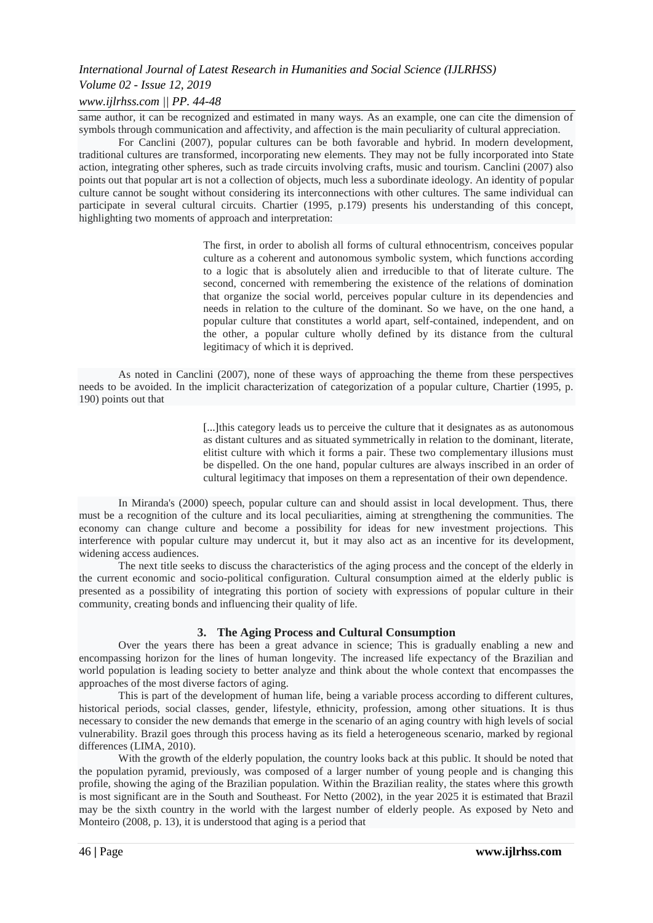#### *International Journal of Latest Research in Humanities and Social Science (IJLRHSS)*

#### *Volume 02 - Issue 12, 2019*

#### *www.ijlrhss.com || PP. 44-48*

same author, it can be recognized and estimated in many ways. As an example, one can cite the dimension of symbols through communication and affectivity, and affection is the main peculiarity of cultural appreciation.

For Canclini (2007), popular cultures can be both favorable and hybrid. In modern development, traditional cultures are transformed, incorporating new elements. They may not be fully incorporated into State action, integrating other spheres, such as trade circuits involving crafts, music and tourism. Canclini (2007) also points out that popular art is not a collection of objects, much less a subordinate ideology. An identity of popular culture cannot be sought without considering its interconnections with other cultures. The same individual can participate in several cultural circuits. Chartier (1995, p.179) presents his understanding of this concept, highlighting two moments of approach and interpretation:

> The first, in order to abolish all forms of cultural ethnocentrism, conceives popular culture as a coherent and autonomous symbolic system, which functions according to a logic that is absolutely alien and irreducible to that of literate culture. The second, concerned with remembering the existence of the relations of domination that organize the social world, perceives popular culture in its dependencies and needs in relation to the culture of the dominant. So we have, on the one hand, a popular culture that constitutes a world apart, self-contained, independent, and on the other, a popular culture wholly defined by its distance from the cultural legitimacy of which it is deprived.

As noted in Canclini (2007), none of these ways of approaching the theme from these perspectives needs to be avoided. In the implicit characterization of categorization of a popular culture, Chartier (1995, p. 190) points out that

> [...]this category leads us to perceive the culture that it designates as as autonomous as distant cultures and as situated symmetrically in relation to the dominant, literate, elitist culture with which it forms a pair. These two complementary illusions must be dispelled. On the one hand, popular cultures are always inscribed in an order of cultural legitimacy that imposes on them a representation of their own dependence.

In Miranda's (2000) speech, popular culture can and should assist in local development. Thus, there must be a recognition of the culture and its local peculiarities, aiming at strengthening the communities. The economy can change culture and become a possibility for ideas for new investment projections. This interference with popular culture may undercut it, but it may also act as an incentive for its development, widening access audiences.

The next title seeks to discuss the characteristics of the aging process and the concept of the elderly in the current economic and socio-political configuration. Cultural consumption aimed at the elderly public is presented as a possibility of integrating this portion of society with expressions of popular culture in their community, creating bonds and influencing their quality of life.

#### **3. The Aging Process and Cultural Consumption**

Over the years there has been a great advance in science; This is gradually enabling a new and encompassing horizon for the lines of human longevity. The increased life expectancy of the Brazilian and world population is leading society to better analyze and think about the whole context that encompasses the approaches of the most diverse factors of aging.

This is part of the development of human life, being a variable process according to different cultures, historical periods, social classes, gender, lifestyle, ethnicity, profession, among other situations. It is thus necessary to consider the new demands that emerge in the scenario of an aging country with high levels of social vulnerability. Brazil goes through this process having as its field a heterogeneous scenario, marked by regional differences (LIMA, 2010).

With the growth of the elderly population, the country looks back at this public. It should be noted that the population pyramid, previously, was composed of a larger number of young people and is changing this profile, showing the aging of the Brazilian population. Within the Brazilian reality, the states where this growth is most significant are in the South and Southeast. For Netto (2002), in the year 2025 it is estimated that Brazil may be the sixth country in the world with the largest number of elderly people. As exposed by Neto and Monteiro (2008, p. 13), it is understood that aging is a period that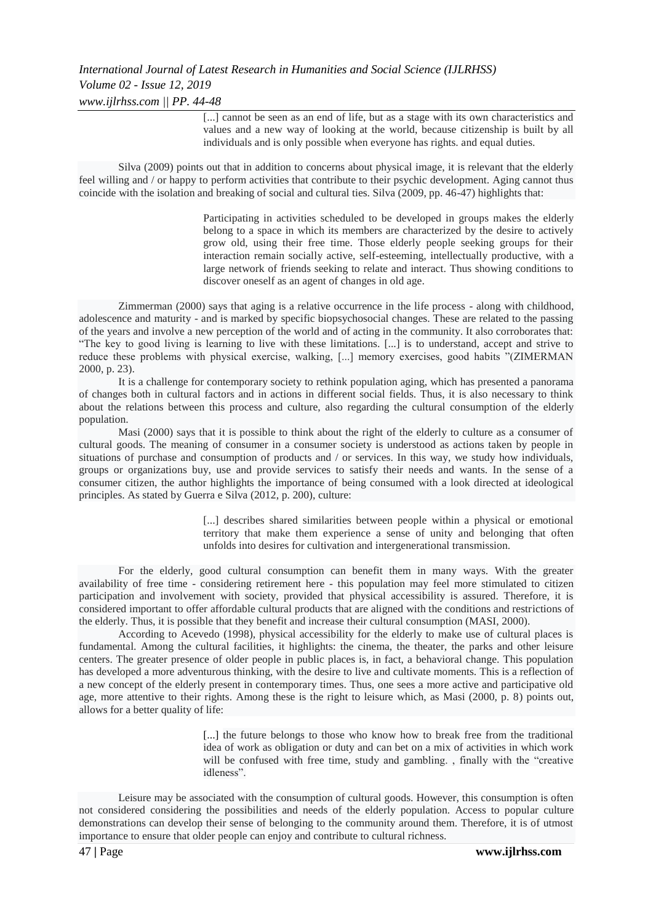### *International Journal of Latest Research in Humanities and Social Science (IJLRHSS) Volume 02 - Issue 12, 2019 www.ijlrhss.com || PP. 44-48*

[...] cannot be seen as an end of life, but as a stage with its own characteristics and values and a new way of looking at the world, because citizenship is built by all individuals and is only possible when everyone has rights. and equal duties.

Silva (2009) points out that in addition to concerns about physical image, it is relevant that the elderly feel willing and / or happy to perform activities that contribute to their psychic development. Aging cannot thus coincide with the isolation and breaking of social and cultural ties. Silva (2009, pp. 46-47) highlights that:

> Participating in activities scheduled to be developed in groups makes the elderly belong to a space in which its members are characterized by the desire to actively grow old, using their free time. Those elderly people seeking groups for their interaction remain socially active, self-esteeming, intellectually productive, with a large network of friends seeking to relate and interact. Thus showing conditions to discover oneself as an agent of changes in old age.

Zimmerman (2000) says that aging is a relative occurrence in the life process - along with childhood, adolescence and maturity - and is marked by specific biopsychosocial changes. These are related to the passing of the years and involve a new perception of the world and of acting in the community. It also corroborates that: "The key to good living is learning to live with these limitations. [...] is to understand, accept and strive to reduce these problems with physical exercise, walking, [...] memory exercises, good habits "(ZIMERMAN 2000, p. 23).

It is a challenge for contemporary society to rethink population aging, which has presented a panorama of changes both in cultural factors and in actions in different social fields. Thus, it is also necessary to think about the relations between this process and culture, also regarding the cultural consumption of the elderly population.

Masi (2000) says that it is possible to think about the right of the elderly to culture as a consumer of cultural goods. The meaning of consumer in a consumer society is understood as actions taken by people in situations of purchase and consumption of products and / or services. In this way, we study how individuals, groups or organizations buy, use and provide services to satisfy their needs and wants. In the sense of a consumer citizen, the author highlights the importance of being consumed with a look directed at ideological principles. As stated by Guerra e Silva (2012, p. 200), culture:

> [...] describes shared similarities between people within a physical or emotional territory that make them experience a sense of unity and belonging that often unfolds into desires for cultivation and intergenerational transmission.

For the elderly, good cultural consumption can benefit them in many ways. With the greater availability of free time - considering retirement here - this population may feel more stimulated to citizen participation and involvement with society, provided that physical accessibility is assured. Therefore, it is considered important to offer affordable cultural products that are aligned with the conditions and restrictions of the elderly. Thus, it is possible that they benefit and increase their cultural consumption (MASI, 2000).

According to Acevedo (1998), physical accessibility for the elderly to make use of cultural places is fundamental. Among the cultural facilities, it highlights: the cinema, the theater, the parks and other leisure centers. The greater presence of older people in public places is, in fact, a behavioral change. This population has developed a more adventurous thinking, with the desire to live and cultivate moments. This is a reflection of a new concept of the elderly present in contemporary times. Thus, one sees a more active and participative old age, more attentive to their rights. Among these is the right to leisure which, as Masi (2000, p. 8) points out, allows for a better quality of life:

> [...] the future belongs to those who know how to break free from the traditional idea of work as obligation or duty and can bet on a mix of activities in which work will be confused with free time, study and gambling. , finally with the "creative idleness".

Leisure may be associated with the consumption of cultural goods. However, this consumption is often not considered considering the possibilities and needs of the elderly population. Access to popular culture demonstrations can develop their sense of belonging to the community around them. Therefore, it is of utmost importance to ensure that older people can enjoy and contribute to cultural richness.